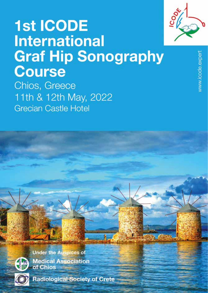

# **1st ICODE International Graf Hip Sonography Course**

Chios, Greece 11th & 12th May, 2022 **Grecian Castle Hotel** 



**Under the Auspices of Medical Association** of Chios

**Radiological Society of Crete**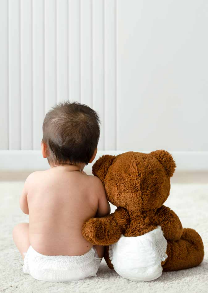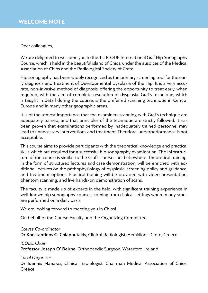Dear colleagues,

We are delighted to welcome you to the 1st ICODE International Graf Hip Sonography Course, which is held in the beautiful island of Chios, under the auspices of the Medical Association of Chios and the Radiological Society of Crete.

Hip sonography has been widely recognized as the primary screening tool for the early diagnosis and treatment of Developmental Dysplasia of the Hip. It is a very accurate, non-invasive method of diagnosis, offering the opportunity to treat early, when required, with the aim of complete resolution of dysplasia. Graf's technique, which is taught in detail during the course, is the preferred scanning technique in Central Europe and in many other geographic areas.

It is of the utmost importance that the examiners scanning with Graf's technique are adequately trained, and that principles of the technique are strictly followed. It has been proven that examinations performed by inadequately trained personnel may lead to unnecessary interventions and treatment. Therefore, underperformance is not acceptable.

This course aims to provide participants with the theoretical knowledge and practical skills which are required for a successful hip sonography examination. The infrastructure of the course is similar to the Graf's courses held elsewhere. Theoretical training, in the form of structured lectures and case demonstration, will be enriched with additional lectures on the pathophysiology of dysplasia, screening policy and guidance, and treatment options. Practical training will be provided with video presentation, phantom scanning, and live hands-on demonstration of scans.

The faculty is made up of experts in the field, with significant training experience in well-known hip sonography courses, coming from clinical settings where many scans are performed on a daily basis.

We are looking forward to meeting you in Chios!

On behalf of the Course Faculty and the Organizing Committee,

*Course Co-ordinator*

Dr Konstantinos G. Chlapoutakis, Clinical Radiologist, Heraklion - Crete, Greece

*ICODE Chair*

Professor Joseph O' Beirne, Orthopaedic Surgeon, Waterford, Ireland

#### *Local Organizer*

Dr Ioannis Manaras, Clinical Radiologist. Chairman Medical Association of Chios, Greece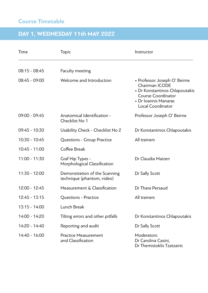## **Course Timetable**

## **DAY 1, WEDNESDAY 11th MAY 2022**

| Time            | Topic                                                       | Instructor                                                                                                                                                 |
|-----------------|-------------------------------------------------------------|------------------------------------------------------------------------------------------------------------------------------------------------------------|
| $08:15 - 08:45$ | Faculty meeting                                             |                                                                                                                                                            |
| 08:45 - 09:00   | Welcome and Introduction                                    | • Professor Joseph O' Beirne<br>Chairman ICODE<br>• Dr Konstantinos Chlapoutakis<br><b>Course Coordinator</b><br>• Dr Ioannis Manaras<br>Local Coordinator |
| 09:00 - 09:45   | Anatomical Identification -<br>Checklist No 1               | Professor Joseph O' Beirne                                                                                                                                 |
| 09:45 - 10:30   | Usability Check - Checklist No 2                            | Dr Konstantinos Chlapoutakis                                                                                                                               |
| 10:30 - 10:45   | Questions - Group Practice                                  | All trainers                                                                                                                                               |
| $10:45 - 11:00$ | Coffee Break                                                |                                                                                                                                                            |
| 11:00 - 11:30   | Graf Hip Types -<br>Morphological Classification            | Dr Claudia Maizen                                                                                                                                          |
| 11:30 - 12:00   | Demonstration of the Scanning<br>technique (phantom, video) | Dr Sally Scott                                                                                                                                             |
| 12:00 - 12:45   | Measurement & Classification                                | Dr Thara Persaud                                                                                                                                           |
| $12:45 - 13:15$ | <b>Questions - Practice</b>                                 | All trainers                                                                                                                                               |
| $13:15 - 14:00$ | Lunch Break                                                 |                                                                                                                                                            |
| 14:00 - 14:20   | Tilting errors and other pitfalls                           | Dr Konstantinos Chlapoutakis                                                                                                                               |
| 14:20 - 14:40   | Reporting and audit                                         | Dr Sally Scott                                                                                                                                             |
| 14:40 - 16:00   | <b>Practice Measurement</b><br>and Classification           | Moderators:<br>Dr Carolina Casini,<br>Dr Themistoklis Tzatzairis                                                                                           |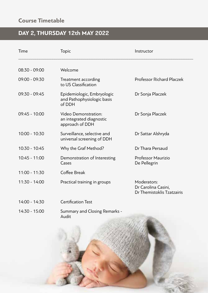# **DAY 2, THURSDAY 12th MAY 2022**

| Time            | Topic                                                               | Instructor                                                       |
|-----------------|---------------------------------------------------------------------|------------------------------------------------------------------|
| 08:30 - 09:00   | Welcome                                                             |                                                                  |
| $09:00 - 09:30$ | Treatment according<br>to US Classification                         | Professor Richard Placzek                                        |
| $09:30 - 09:45$ | Epidemiologic, Embryologic<br>and Pathophysiologic basis<br>of DDH  | Dr Sonja Placzek                                                 |
| $09:45 - 10:00$ | Video Demonstration:<br>an integrated diagnostic<br>approach of DDH | Dr Sonja Placzek                                                 |
| 10:00 - 10:30   | Surveillance, selective and<br>universal screening of DDH           | Dr Sattar Alshryda                                               |
| 10:30 - 10:45   | Why the Graf Method?                                                | Dr Thara Persaud                                                 |
| 10:45 - 11:00   | Demonstration of Interesting<br>Cases                               | Professor Maurizio<br>De Pellegrin                               |
| 11:00 - 11:30   | Coffee Break                                                        |                                                                  |
| 11:30 - 14:00   | Practical training in groups                                        | Moderators:<br>Dr Carolina Casini,<br>Dr Themistoklis Tzatzairis |
| 14:00 - 14:30   | <b>Certification Test</b>                                           |                                                                  |
| 14:30 - 15:00   | <b>Summary and Closing Remarks -</b><br>Audit                       |                                                                  |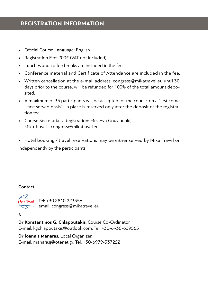### **REGISTRATION INFORMATION**

- Official Course Language: English
- Registration Fee: 200€ (VAT not included)
- Lunches and coffee breaks are included in the fee.
- Conference material and Certificate of Attendance are included in the fee.
- Written cancellation at the e-mail address: congress@mikatravel.eu until 30 days prior to the course, will be refunded for 100% of the total amount deposited.
- A maximum of 35 participants will be accepted for the course, on a "first come - first served basis" - a place is reserved only after the deposit of the registration fee.
- Course Secretariat / Registration: Mrs. Eva Gouvianaki, Mika Travel - congress@mikatravel.eu

• Hotel booking / travel reservations may be either served by Mika Travel or independently by the participants.

#### **Contact**

&

 $\frac{1}{\sqrt{2}}$  Tel: +30 2810 223356 email: congress@mikatravel.eu

**Dr Konstantinos G. Chlapoutakis**, Course Co-Ordinator. E-mail: kgchlapoutakis@outlook.com, Tel: +30-6932-639565

**Dr Ioannis Manaras,** Local Organizer. E-mail: manarasj@otenet.gr, Tel: +30-6979-337222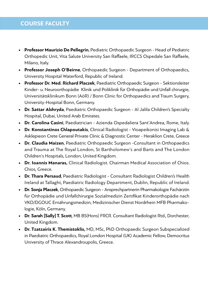## **COURSE FACULTY**

- **• Professor Maurizio De Pellegrin**, Pediatric Orthopaedic Surgeon Head of Pediatric Orthopedic Unit, Vita Salute University San Raffaele, IRCCS Ospedale San Raffaele, Milano, Italy.
- **• Professor Joseph O'Beirne**, Orthopaedic Surgeon Department of Orthopaedics, University Hospital Waterford, Republic of Ireland.
- **• Professor Dr. Med. Richard Placzek**, Paediatric Orthopaedic Surgeon Sektionsleiter Kinder- u. Neuroorthopädie Klinik und Poliklinik für Orthopädie und Unfall chirurgie, Universitätsklinikum Bonn (AöR) / Bonn Clinic for Orthopaedics and Traum Surgery, University-Hospital Bonn, Germany.
- **• Dr. Sattar Alshryda**, Paediatric Orthopaedic Surgeon Al Jalila Children's Specialty Hospital, Dubai, United Arab Emirates.
- **• Dr. Carolina Casini**, Paediatrician Azienda Ospedaliera Sant'Andrea, Rome, Italy.
- **• Dr. Konstantinos Chlapoutakis**, Clinical Radiologist Vioapeikonisi Imaging Lab & Asklepieon Crete General Private Clinic & Diagnostic Center - Heraklion Crete, Greece
- **• Dr. Claudia Maizen**, Paediatric Orthopaedic Surgeon -Consultant in Orthopaedics and Trauma at The Royal London, St Bartholomew's and Barts and The London Children's Hospitals, London, United Kingdom.
- **• Dr. Ioannis Manaras,** Clinical Radiologist. Chairman Medical Association of Chios. Chios, Greece.
- **• Dr. Thara Persaud**, Paediatric Radiologist Consultant Radiologist Children's Health Ireland at Tallaght, Paediatric Radiology Department, Dublin, Republic of Ireland.
- **• Dr. Sonja Placzek**, Orthopaedic Surgeon Ansprechpartnerin Pharmakologie Fachärztin für Orthopädie und Unfallchirurgie Sozialmedizin Zertifikat Kinderorthopädie nach VKO/DGOUC Ernährungsmedizin, Medizinischer Dienst Nordrhein MFB Pharmakologie, Köln, Germany.
- **• Dr. Sarah [Sally] T. Scott**, MB BS(Hons) FRCR. Consultant Radiologist Rtd., Dorchester, United Kingdom.
- **• Dr. Tzatzairis K. Themistoklis,** MD, MSc, PhD Orthopaedic Surgeon Subspecialized in Paediatric Orthopaedics, Royal London Hospital (UK) Academic Fellow, Democritus University of Thrace Alexandroupolis, Greece.